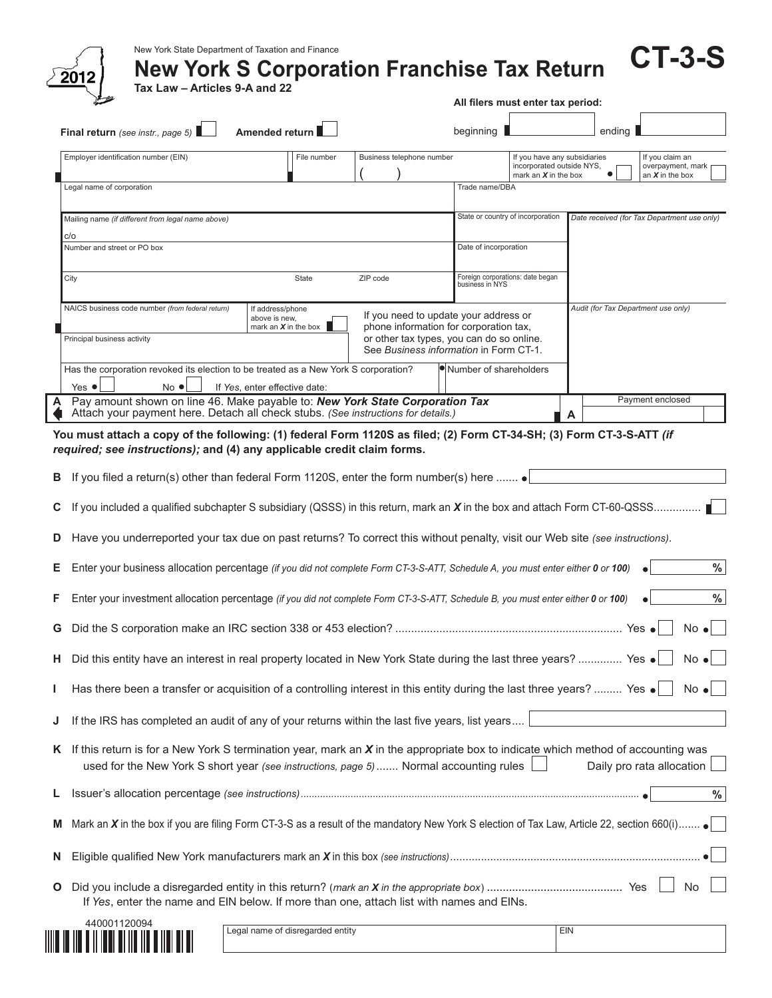|        |                                                                                                                                                                                                                                                                                                                                                                                                                                                                                                                                      |                                                             |                                        | All filers must enter tax period:                   |                                                                                                                              |                                             |                                                           |  |  |
|--------|--------------------------------------------------------------------------------------------------------------------------------------------------------------------------------------------------------------------------------------------------------------------------------------------------------------------------------------------------------------------------------------------------------------------------------------------------------------------------------------------------------------------------------------|-------------------------------------------------------------|----------------------------------------|-----------------------------------------------------|------------------------------------------------------------------------------------------------------------------------------|---------------------------------------------|-----------------------------------------------------------|--|--|
|        | Final return (see instr., page 5)                                                                                                                                                                                                                                                                                                                                                                                                                                                                                                    | Amended return                                              |                                        | beginning                                           |                                                                                                                              | ending                                      |                                                           |  |  |
|        | Employer identification number (EIN)                                                                                                                                                                                                                                                                                                                                                                                                                                                                                                 | File number                                                 | Business telephone number              |                                                     | If you have any subsidiaries<br>incorporated outside NYS,<br>mark an $X$ in the box                                          |                                             | If you claim an<br>overpayment, mark<br>an $X$ in the box |  |  |
|        | Legal name of corporation                                                                                                                                                                                                                                                                                                                                                                                                                                                                                                            |                                                             |                                        | Trade name/DBA                                      |                                                                                                                              |                                             |                                                           |  |  |
|        | Mailing name (if different from legal name above)                                                                                                                                                                                                                                                                                                                                                                                                                                                                                    |                                                             |                                        | State or country of incorporation                   |                                                                                                                              | Date received (for Tax Department use only) |                                                           |  |  |
|        | C/O<br>Number and street or PO box                                                                                                                                                                                                                                                                                                                                                                                                                                                                                                   |                                                             |                                        | Date of incorporation                               |                                                                                                                              |                                             |                                                           |  |  |
|        | City                                                                                                                                                                                                                                                                                                                                                                                                                                                                                                                                 | State                                                       | ZIP code                               | Foreign corporations: date began<br>business in NYS |                                                                                                                              |                                             |                                                           |  |  |
|        | NAICS business code number (from federal return)<br>Principal business activity                                                                                                                                                                                                                                                                                                                                                                                                                                                      | If address/phone<br>above is new.<br>mark an $X$ in the box |                                        |                                                     | If you need to update your address or<br>phone information for corporation tax,<br>or other tax types, you can do so online. | Audit (for Tax Department use only)         |                                                           |  |  |
|        | Has the corporation revoked its election to be treated as a New York S corporation?                                                                                                                                                                                                                                                                                                                                                                                                                                                  |                                                             | See Business information in Form CT-1. | Number of shareholders                              |                                                                                                                              |                                             |                                                           |  |  |
|        | $Yes$ $\bullet$<br>$No$ $\bullet$<br>Pay amount shown on line 46. Make payable to: New York State Corporation Tax                                                                                                                                                                                                                                                                                                                                                                                                                    | If Yes, enter effective date:                               |                                        |                                                     |                                                                                                                              |                                             | Payment enclosed                                          |  |  |
|        | Attach your payment here. Detach all check stubs. (See instructions for details.)                                                                                                                                                                                                                                                                                                                                                                                                                                                    |                                                             |                                        |                                                     |                                                                                                                              | A                                           |                                                           |  |  |
| D<br>G | If you included a qualified subchapter S subsidiary (QSSS) in this return, mark an $X$ in the box and attach Form CT-60-QSSS<br>Have you underreported your tax due on past returns? To correct this without penalty, visit our Web site (see instructions).<br>Enter your business allocation percentage (if you did not complete Form CT-3-S-ATT, Schedule A, you must enter either 0 or 100)<br>Enter your investment allocation percentage (if you did not complete Form CT-3-S-ATT, Schedule B, you must enter either 0 or 100) |                                                             |                                        |                                                     |                                                                                                                              |                                             | %<br>$\%$<br>$No \bullet$                                 |  |  |
| н.     | Did this entity have an interest in real property located in New York State during the last three years?  Yes .                                                                                                                                                                                                                                                                                                                                                                                                                      |                                                             |                                        |                                                     |                                                                                                                              |                                             | $No \bullet$                                              |  |  |
| L      | Has there been a transfer or acquisition of a controlling interest in this entity during the last three years?  Yes .                                                                                                                                                                                                                                                                                                                                                                                                                |                                                             |                                        |                                                     |                                                                                                                              |                                             | $No \bullet$                                              |  |  |
| J      | If the IRS has completed an audit of any of your returns within the last five years, list years                                                                                                                                                                                                                                                                                                                                                                                                                                      |                                                             |                                        |                                                     |                                                                                                                              |                                             |                                                           |  |  |
|        | K If this return is for a New York S termination year, mark an X in the appropriate box to indicate which method of accounting was<br>used for the New York S short year (see instructions, page 5) Normal accounting rules                                                                                                                                                                                                                                                                                                          |                                                             |                                        |                                                     |                                                                                                                              | Daily pro rata allocation                   |                                                           |  |  |
| L,     |                                                                                                                                                                                                                                                                                                                                                                                                                                                                                                                                      |                                                             |                                        |                                                     |                                                                                                                              |                                             | %                                                         |  |  |
| M      | Mark an X in the box if you are filing Form CT-3-S as a result of the mandatory New York S election of Tax Law, Article 22, section 660(i)                                                                                                                                                                                                                                                                                                                                                                                           |                                                             |                                        |                                                     |                                                                                                                              |                                             |                                                           |  |  |
|        |                                                                                                                                                                                                                                                                                                                                                                                                                                                                                                                                      |                                                             |                                        |                                                     |                                                                                                                              |                                             |                                                           |  |  |
| N.     |                                                                                                                                                                                                                                                                                                                                                                                                                                                                                                                                      |                                                             |                                        |                                                     |                                                                                                                              |                                             | No                                                        |  |  |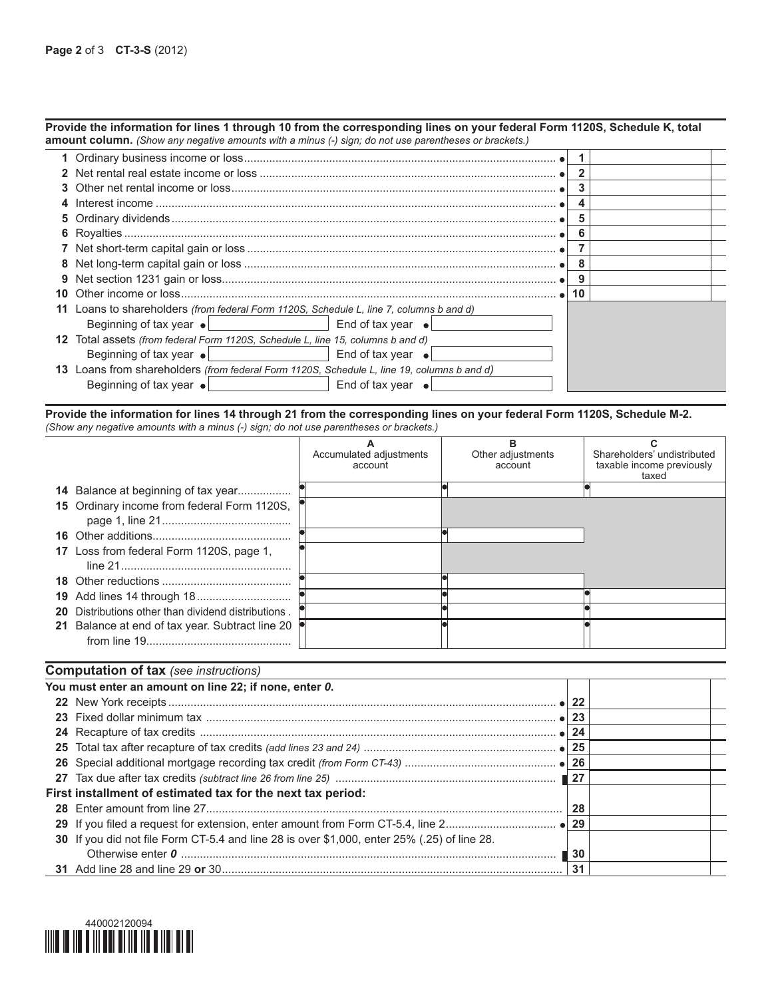|     | Provide the information for lines 1 through 10 from the corresponding lines on your federal Form 1120S, Schedule K, total<br>amount column. (Show any negative amounts with a minus (-) sign; do not use parentheses or brackets.) |                           |              |  |
|-----|------------------------------------------------------------------------------------------------------------------------------------------------------------------------------------------------------------------------------------|---------------------------|--------------|--|
|     |                                                                                                                                                                                                                                    |                           |              |  |
|     |                                                                                                                                                                                                                                    |                           | $\mathbf{2}$ |  |
|     |                                                                                                                                                                                                                                    |                           | 3            |  |
|     |                                                                                                                                                                                                                                    |                           | 4            |  |
|     |                                                                                                                                                                                                                                    |                           | 5            |  |
|     |                                                                                                                                                                                                                                    |                           | 6            |  |
|     |                                                                                                                                                                                                                                    |                           |              |  |
|     |                                                                                                                                                                                                                                    |                           | 8            |  |
|     |                                                                                                                                                                                                                                    |                           | -9           |  |
|     |                                                                                                                                                                                                                                    |                           | 10           |  |
|     | Loans to shareholders (from federal Form 1120S, Schedule L, line 7, columns b and d)                                                                                                                                               |                           |              |  |
|     | Beginning of tax year ● Beginning of tax year ●                                                                                                                                                                                    |                           |              |  |
| 12  | Total assets (from federal Form 1120S, Schedule L, line 15, columns b and d)                                                                                                                                                       |                           |              |  |
|     | Beginning of tax year $\bullet$ $\vert$ $\vert$ $\vert$ $\vert$ $\vert$ $\vert$ $\vert$ and of tax year $\bullet$                                                                                                                  |                           |              |  |
| 13. | Loans from shareholders <i>(from federal Form 1120S, Schedule L, line 19, columns b and d)</i>                                                                                                                                     |                           |              |  |
|     | Beginning of tax year $\bullet$                                                                                                                                                                                                    | End of tax year $\bullet$ |              |  |

Provide the information for lines 14 through 21 from the corresponding lines on your federal Form 1120S, Schedule M-2. *(Show any negative amounts with a minus (-) sign; do not use parentheses or brackets.)*

|                                                           | Accumulated adjustments<br>account | Other adjustments<br>account | Shareholders' undistributed<br>taxable income previously<br>taxed |
|-----------------------------------------------------------|------------------------------------|------------------------------|-------------------------------------------------------------------|
| <b>14</b> Balance at beginning of tax year                |                                    |                              |                                                                   |
| 15 Ordinary income from federal Form 1120S,               |                                    |                              |                                                                   |
|                                                           |                                    |                              |                                                                   |
| 17 Loss from federal Form 1120S, page 1,                  |                                    |                              |                                                                   |
|                                                           |                                    |                              |                                                                   |
|                                                           |                                    |                              |                                                                   |
| <b>20</b> Distributions other than dividend distributions |                                    |                              |                                                                   |
| 21 Balance at end of tax year. Subtract line 20           |                                    |                              |                                                                   |

| <b>Computation of tax</b> (see instructions)                                                |     |  |
|---------------------------------------------------------------------------------------------|-----|--|
| You must enter an amount on line 22; if none, enter 0.                                      |     |  |
|                                                                                             |     |  |
|                                                                                             | 23  |  |
|                                                                                             | 24  |  |
|                                                                                             |     |  |
|                                                                                             |     |  |
|                                                                                             |     |  |
| First installment of estimated tax for the next tax period:                                 |     |  |
|                                                                                             | 28  |  |
|                                                                                             | 29  |  |
| 30 If you did not file Form CT-5.4 and line 28 is over \$1,000, enter 25% (.25) of line 28. |     |  |
|                                                                                             | -30 |  |
|                                                                                             | 31  |  |